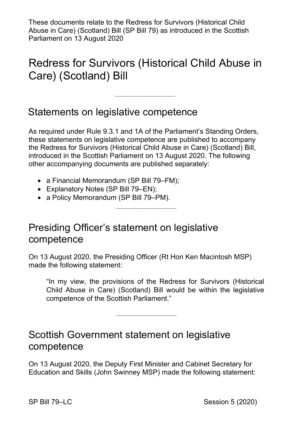These documents relate to the Redress for Survivors (Historical Child Abuse in Care) (Scotland) Bill (SP Bill 79) as introduced in the Scottish Parliament on 13 August 2020

# Redress for Survivors (Historical Child Abuse in Care) (Scotland) Bill

——————————

#### Statements on legislative competence

As required under Rule 9.3.1 and 1A of the Parliament's Standing Orders, these statements on legislative competence are published to accompany the Redress for Survivors (Historical Child Abuse in Care) (Scotland) Bill, introduced in the Scottish Parliament on 13 August 2020. The following other accompanying documents are published separately:

——————————

- a Financial Memorandum (SP Bill 79–FM);
- Explanatory Notes (SP Bill 79–EN);
- a Policy Memorandum (SP Bill 79–PM).

#### Presiding Officer's statement on legislative competence

On 13 August 2020, the Presiding Officer (Rt Hon Ken Macintosh MSP) made the following statement:

"In my view, the provisions of the Redress for Survivors (Historical Child Abuse in Care) (Scotland) Bill would be within the legislative competence of the Scottish Parliament."

——————————

### Scottish Government statement on legislative competence

On 13 August 2020, the Deputy First Minister and Cabinet Secretary for Education and Skills (John Swinney MSP) made the following statement: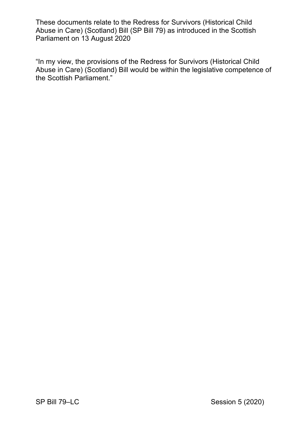These documents relate to the Redress for Survivors (Historical Child Abuse in Care) (Scotland) Bill (SP Bill 79) as introduced in the Scottish Parliament on 13 August 2020

"In my view, the provisions of the Redress for Survivors (Historical Child Abuse in Care) (Scotland) Bill would be within the legislative competence of the Scottish Parliament."